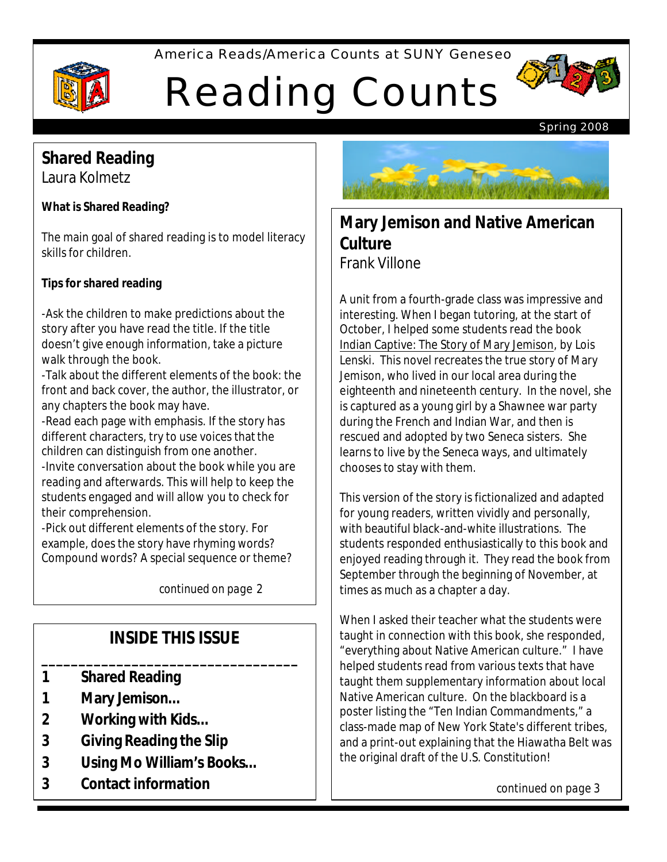America Reads/America Counts at SUNY Geneseo



# Reading Counts



Spring 2008

## **Shared Reading**

Laura Kolmetz

#### **What is Shared Reading?**

The main goal of shared reading is to model literacy skills for children.

#### **Tips for shared reading**

-Ask the children to make predictions about the story after you have read the title. If the title doesn't give enough information, take a picture walk through the book.

-Talk about the different elements of the book: the front and back cover, the author, the illustrator, or any chapters the book may have.

-Read each page with emphasis. If the story has different characters, try to use voices that the children can distinguish from one another.

-Invite conversation about the book while you are reading and afterwards. This will help to keep the students engaged and will allow you to check for their comprehension.

-Pick out different elements of the story. For example, does the story have rhyming words? Compound words? A special sequence or theme?

*continued on page* 2

## **INSIDE THIS ISSUE**

**\_\_\_\_\_\_\_\_\_\_\_\_\_\_\_\_\_\_\_\_\_\_\_\_\_\_\_\_\_\_\_\_\_\_**

- **1 Shared Reading**
- **1 Mary Jemison…**
- **2 Working with Kids…**
- **3 Giving Reading the Slip**
- **3 Using Mo William's Books…**
- **3 Contact information**



## **Mary Jemison and Native American Culture** Frank Villone

 Indian Captive: The Story of Mary Jemison, by Lois A unit from a fourth-grade class was impressive and interesting. When I began tutoring, at the start of October, I helped some students read the book Lenski. This novel recreates the true story of Mary Jemison, who lived in our local area during the eighteenth and nineteenth century. In the novel, she is captured as a young girl by a Shawnee war party during the French and Indian War, and then is rescued and adopted by two Seneca sisters. She learns to live by the Seneca ways, and ultimately chooses to stay with them.

This version of the story is fictionalized and adapted for young readers, written vividly and personally, with beautiful black-and-white illustrations. The students responded enthusiastically to this book and enjoyed reading through it. They read the book from September through the beginning of November, at times as much as a chapter a day.

When I asked their teacher what the students were taught in connection with this book, she responded, "everything about Native American culture." I have helped students read from various texts that have taught them supplementary information about local Native American culture. On the blackboard is a poster listing the "Ten Indian Commandments," a class-made map of New York State's different tribes, and a print-out explaining that the Hiawatha Belt was the original draft of the U.S. Constitution!

*continued on page 3*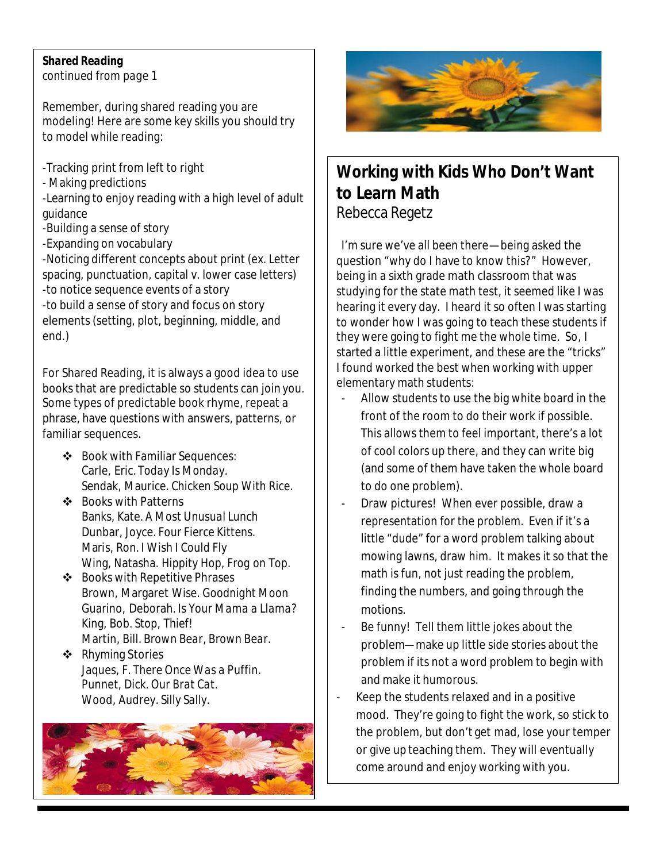#### *Shared Reading*

*continued from page 1*

Remember, during shared reading you are modeling! Here are some key skills you should try to model while reading:

 $\overline{\phantom{a}}$ 

 $\overline{\phantom{a}}$ 

-Tracking print from left to right

- Making predictions

-Learning to enjoy reading with a high level of adult guidance

-Building a sense of story

-Expanding on vocabulary

-Noticing different concepts about print (ex. Letter spacing, punctuation, capital v. lower case letters) -to notice sequence events of a story

-to build a sense of story and focus on story elements (setting, plot, beginning, middle, and end.)

For Shared Reading, it is always a good idea to use books that are predictable so students can join you. Some types of predictable book rhyme, repeat a phrase, have questions with answers, patterns, or familiar sequences.

- v Book with Familiar Sequences: Carle, Eric. *Today Is Monday.* Sendak, Maurice. *Chicken Soup With Rice.*
- ❖ Books with Patterns Banks, Kate. *A Most Unusual Lunch* Dunbar, Joyce. *Four Fierce Kittens.* Maris, Ron. *I Wish I Could Fly* Wing, Natasha. *Hippity Hop, Frog on Top.*
- $\div$  Books with Repetitive Phrases Brown, Margaret Wise. *Goodnight Moon* Guarino, Deborah. *Is Your Mama a Llama?* King, Bob. *Stop, Thief!* Martin, Bill. *Brown Bear, Brown Bear.*
- ❖ Rhyming Stories Jaques, F. *There Once Was a Puffin.* Punnet, Dick. *Our Brat Cat*. Wood, Audrey. *Silly Sally.*





## **Working with Kids Who Don't Want to Learn Math** Rebecca Regetz

I'm sure we've all been there—being asked the question "why do I have to know this?" However, being in a sixth grade math classroom that was studying for the state math test, it seemed like I was hearing it every day. I heard it so often I was starting to wonder how I was going to teach these students if they were going to fight me the whole time. So, I started a little experiment, and these are the "tricks" I found worked the best when working with upper elementary math students:

- Allow students to use the big white board in the front of the room to do their work if possible. This allows them to feel important, there's a lot of cool colors up there, and they can write big (and some of them have taken the whole board to do one problem).
- Draw pictures! When ever possible, draw a representation for the problem. Even if it's a little "dude" for a word problem talking about mowing lawns, draw him. It makes it so that the math is fun, not just reading the problem, finding the numbers, and going through the motions.
- Be funny! Tell them little jokes about the problem—make up little side stories about the problem if its not a word problem to begin with and make it humorous.
- Keep the students relaxed and in a positive mood. They're going to fight the work, so stick to the problem, but don't get mad, lose your temper or give up teaching them. They will eventually come around and enjoy working with you.